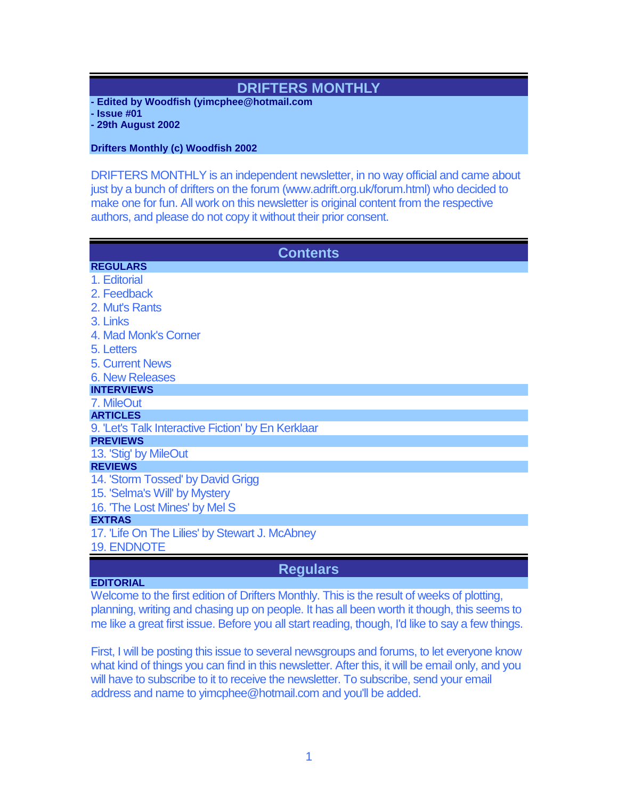# **DRIFTERS MONTHLY**

- **- Edited by Woodfish (yimcphee@hotmail.com**
- **- Issue #01**

**- 29th August 2002**

**Drifters Monthly (c) Woodfish 2002**

DRIFTERS MONTHLY is an independent newsletter, in no way official and came about just by a bunch of drifters on the forum (www.adrift.org.uk/forum.html) who decided to make one for fun. All work on this newsletter is original content from the respective authors, and please do not copy it without their prior consent.

| <b>Contents</b>                                    |
|----------------------------------------------------|
| <b>REGULARS</b>                                    |
| 1. Editorial                                       |
| 2. Feedback                                        |
| 2. Mut's Rants                                     |
| 3. Links                                           |
| 4. Mad Monk's Corner                               |
| 5. Letters                                         |
| <b>5. Current News</b>                             |
| <b>6. New Releases</b>                             |
| <b>INTERVIEWS</b>                                  |
| 7. MileOut                                         |
| <b>ARTICLES</b>                                    |
| 9. 'Let's Talk Interactive Fiction' by En Kerklaar |
| <b>PREVIEWS</b>                                    |
| 13. 'Stig' by MileOut                              |
| <b>REVIEWS</b>                                     |
| 14. 'Storm Tossed' by David Grigg                  |
| 15. 'Selma's Will' by Mystery                      |
| 16. The Lost Mines' by Mel S                       |
| <b>EXTRAS</b>                                      |
| 17. 'Life On The Lilies' by Stewart J. McAbney     |
| <b>19. ENDNOTE</b>                                 |
|                                                    |

# **Regulars**

## **EDITORIAL**

Welcome to the first edition of Drifters Monthly. This is the result of weeks of plotting, planning, writing and chasing up on people. It has all been worth it though, this seems to me like a great first issue. Before you all start reading, though, I'd like to say a few things.

First, I will be posting this issue to several newsgroups and forums, to let everyone know what kind of things you can find in this newsletter. After this, it will be email only, and you will have to subscribe to it to receive the newsletter. To subscribe, send your email address and name to yimcphee@hotmail.com and you'll be added.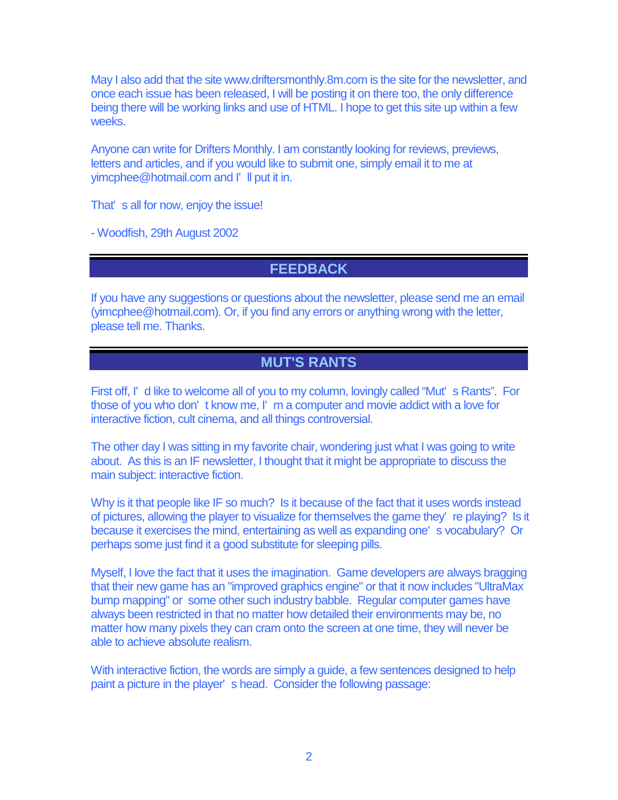May I also add that the site www.driftersmonthly.8m.com is the site for the newsletter, and once each issue has been released, I will be posting it on there too, the only difference being there will be working links and use of HTML. I hope to get this site up within a few weeks.

Anyone can write for Drifters Monthly. I am constantly looking for reviews, previews, letters and articles, and if you would like to submit one, simply email it to me at yimcphee@hotmail.com and I' ll put it in.

That' s all for now, enjoy the issue!

- Woodfish, 29th August 2002

# **FEEDBACK**

If you have any suggestions or questions about the newsletter, please send me an email (yimcphee@hotmail.com). Or, if you find any errors or anything wrong with the letter, please tell me. Thanks.

# **MUT'S RANTS**

First off, I' d like to welcome all of you to my column, lovingly called "Mut' s Rants". For those of you who don' t know me, I' m a computer and movie addict with a love for interactive fiction, cult cinema, and all things controversial.

The other day I was sitting in my favorite chair, wondering just what I was going to write about. As this is an IF newsletter, I thought that it might be appropriate to discuss the main subject: interactive fiction.

Why is it that people like IF so much? Is it because of the fact that it uses words instead of pictures, allowing the player to visualize for themselves the game they' re playing? Is it because it exercises the mind, entertaining as well as expanding one' s vocabulary? Or perhaps some just find it a good substitute for sleeping pills.

Myself, I love the fact that it uses the imagination. Game developers are always bragging that their new game has an "improved graphics engine" or that it now includes "UltraMax bump mapping" or some other such industry babble. Regular computer games have always been restricted in that no matter how detailed their environments may be, no matter how many pixels they can cram onto the screen at one time, they will never be able to achieve absolute realism.

With interactive fiction, the words are simply a guide, a few sentences designed to help paint a picture in the player' s head. Consider the following passage: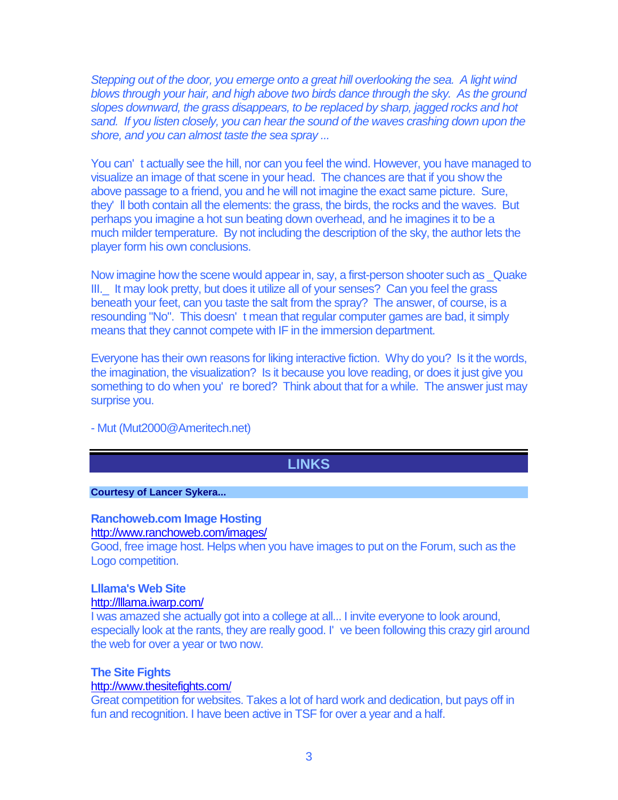Stepping out of the door, you emerge onto a great hill overlooking the sea. A light wind blows through your hair, and high above two birds dance through the sky. As the ground slopes downward, the grass disappears, to be replaced by sharp, jagged rocks and hot sand. If you listen closely, you can hear the sound of the waves crashing down upon the shore, and you can almost taste the sea spray ...

You can' t actually see the hill, nor can you feel the wind. However, you have managed to visualize an image of that scene in your head. The chances are that if you show the above passage to a friend, you and he will not imagine the exact same picture. Sure, they' ll both contain all the elements: the grass, the birds, the rocks and the waves. But perhaps you imagine a hot sun beating down overhead, and he imagines it to be a much milder temperature. By not including the description of the sky, the author lets the player form his own conclusions.

Now imagine how the scene would appear in, say, a first-person shooter such as \_Quake III.\_ It may look pretty, but does it utilize all of your senses? Can you feel the grass beneath your feet, can you taste the salt from the spray? The answer, of course, is a resounding "No". This doesn' t mean that regular computer games are bad, it simply means that they cannot compete with IF in the immersion department.

Everyone has their own reasons for liking interactive fiction. Why do you? Is it the words, the imagination, the visualization? Is it because you love reading, or does it just give you something to do when you' re bored? Think about that for a while. The answer just may surprise you.

- Mut (Mut2000@Ameritech.net)

# **LINKS**

### **Courtesy of Lancer Sykera...**

## **Ranchoweb.com Image Hosting**

<http://www.ranchoweb.com/images/>

Good, free image host. Helps when you have images to put on the Forum, such as the Logo competition.

### **Lllama's Web Site**

### <http://lllama.iwarp.com/>

I was amazed she actually got into a college at all... I invite everyone to look around, especially look at the rants, they are really good. I' ve been following this crazy girl around the web for over a year or two now.

### **The Site Fights**

### <http://www.thesitefights.com/>

Great competition for websites. Takes a lot of hard work and dedication, but pays off in fun and recognition. I have been active in TSF for over a year and a half.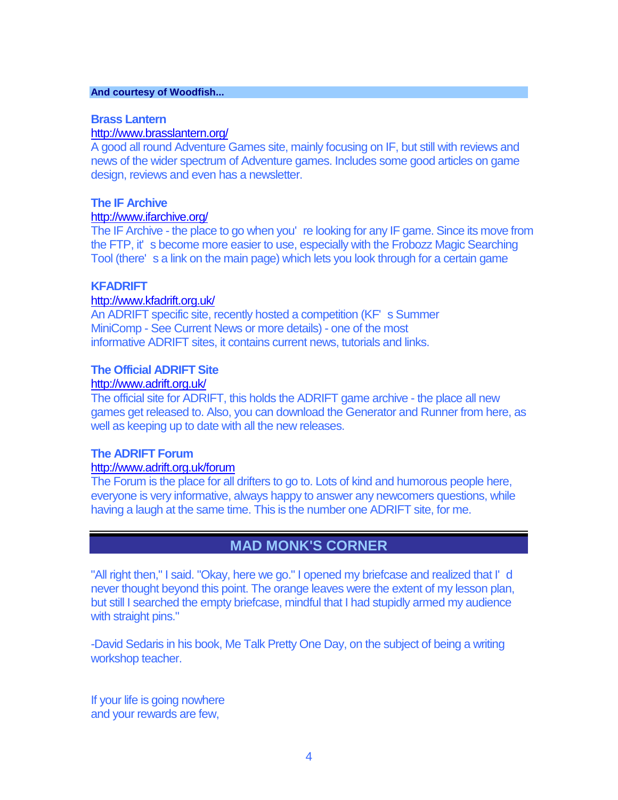### **And courtesy of Woodfish...**

### **Brass Lantern**

### <http://www.brasslantern.org/>

A good all round Adventure Games site, mainly focusing on IF, but still with reviews and news of the wider spectrum of Adventure games. Includes some good articles on game design, reviews and even has a newsletter.

# **The IF Archive**

# <http://www.ifarchive.org/>

The IF Archive - the place to go when you' re looking for any IF game. Since its move from the FTP, it' s become more easier to use, especially with the Frobozz Magic Searching Tool (there's a link on the main page) which lets you look through for a certain game

### **KFADRIFT**

### <http://www.kfadrift.org.uk/>

An ADRIFT specific site, recently hosted a competition (KF' s Summer MiniComp - See Current News or more details) - one of the most informative ADRIFT sites, it contains current news, tutorials and links.

### **The Official ADRIFT Site**

### <http://www.adrift.org.uk/>

The official site for ADRIFT, this holds the ADRIFT game archive - the place all new games get released to. Also, you can download the Generator and Runner from here, as well as keeping up to date with all the new releases.

## **The ADRIFT Forum**

### <http://www.adrift.org.uk/forum>

The Forum is the place for all drifters to go to. Lots of kind and humorous people here, everyone is very informative, always happy to answer any newcomers questions, while having a laugh at the same time. This is the number one ADRIFT site, for me.

# **MAD MONK'S CORNER**

"All right then," I said. "Okay, here we go." I opened my briefcase and realized that I' d never thought beyond this point. The orange leaves were the extent of my lesson plan, but still I searched the empty briefcase, mindful that I had stupidly armed my audience with straight pins."

-David Sedaris in his book, Me Talk Pretty One Day, on the subject of being a writing workshop teacher.

If your life is going nowhere and your rewards are few,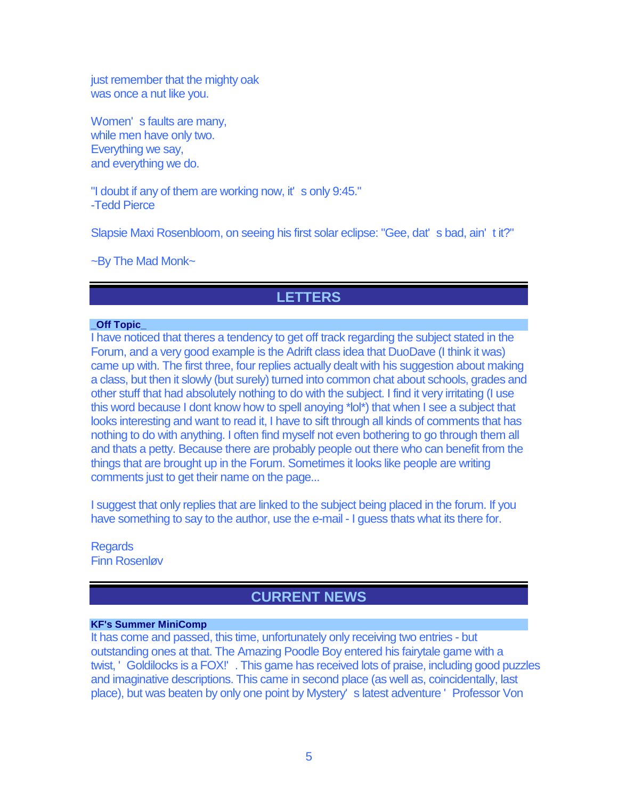just remember that the mighty oak was once a nut like you.

Women' s faults are many, while men have only two. Everything we say, and everything we do.

"I doubt if any of them are working now, it' s only 9:45." -Tedd Pierce

Slapsie Maxi Rosenbloom, on seeing his first solar eclipse: "Gee, dat' s bad, ain' t it?"

~By The Mad Monk~

# **LETTERS**

## **\_Off Topic\_**

I have noticed that theres a tendency to get off track regarding the subject stated in the Forum, and a very good example is the Adrift class idea that DuoDave (I think it was) came up with. The first three, four replies actually dealt with his suggestion about making a class, but then it slowly (but surely) turned into common chat about schools, grades and other stuff that had absolutely nothing to do with the subject. I find it very irritating (I use this word because I dont know how to spell anoying \*lol\*) that when I see a subject that looks interesting and want to read it, I have to sift through all kinds of comments that has nothing to do with anything. I often find myself not even bothering to go through them all and thats a petty. Because there are probably people out there who can benefit from the things that are brought up in the Forum. Sometimes it looks like people are writing comments just to get their name on the page...

I suggest that only replies that are linked to the subject being placed in the forum. If you have something to say to the author, use the e-mail - I guess thats what its there for.

**Regards** Finn Rosenløv

# **CURRENT NEWS**

### **KF's Summer MiniComp**

It has come and passed, this time, unfortunately only receiving two entries - but outstanding ones at that. The Amazing Poodle Boy entered his fairytale game with a twist, ' Goldilocks is a FOX!' . This game has received lots of praise, including good puzzles and imaginative descriptions. This came in second place (as well as, coincidentally, last place), but was beaten by only one point by Mystery' s latest adventure ' Professor Von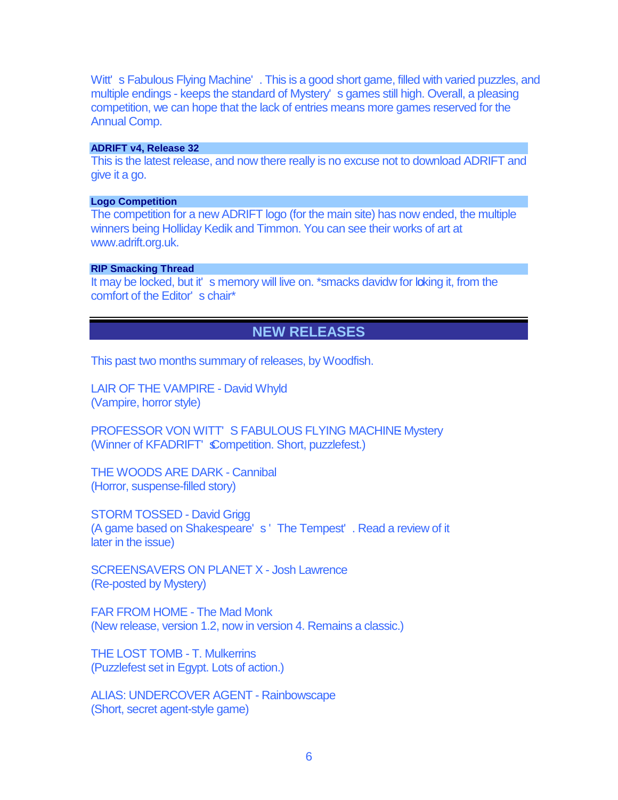Witt's Fabulous Flying Machine'. This is a good short game, filled with varied puzzles, and multiple endings - keeps the standard of Mystery' s games still high. Overall, a pleasing competition, we can hope that the lack of entries means more games reserved for the Annual Comp.

#### **ADRIFT v4, Release 32**

This is the latest release, and now there really is no excuse not to download ADRIFT and give it a go.

### **Logo Competition**

The competition for a new ADRIFT logo (for the main site) has now ended, the multiple winners being Holliday Kedik and Timmon. You can see their works of art at www.adrift.org.uk.

### **RIP Smacking Thread**

It may be locked, but it's memory will live on. \*smacks davidw for loking it, from the comfort of the Editor' s chair\*

# **NEW RELEASES**

This past two months summary of releases, by Woodfish.

LAIR OF THE VAMPIRE - David Whyld (Vampire, horror style)

PROFESSOR VON WITT'S FABULOUS FLYING MACHINE Mystery (Winner of KFADRIFT' Competition. Short, puzzlefest.)

THE WOODS ARE DARK - Cannibal (Horror, suspense-filled story)

STORM TOSSED - David Grigg (A game based on Shakespeare' s ' The Tempest' . Read a review of it later in the issue)

SCREENSAVERS ON PLANET X - Josh Lawrence (Re-posted by Mystery)

FAR FROM HOME - The Mad Monk (New release, version 1.2, now in version 4. Remains a classic.)

THE LOST TOMB - T. Mulkerrins (Puzzlefest set in Egypt. Lots of action.)

ALIAS: UNDERCOVER AGENT - Rainbowscape (Short, secret agent-style game)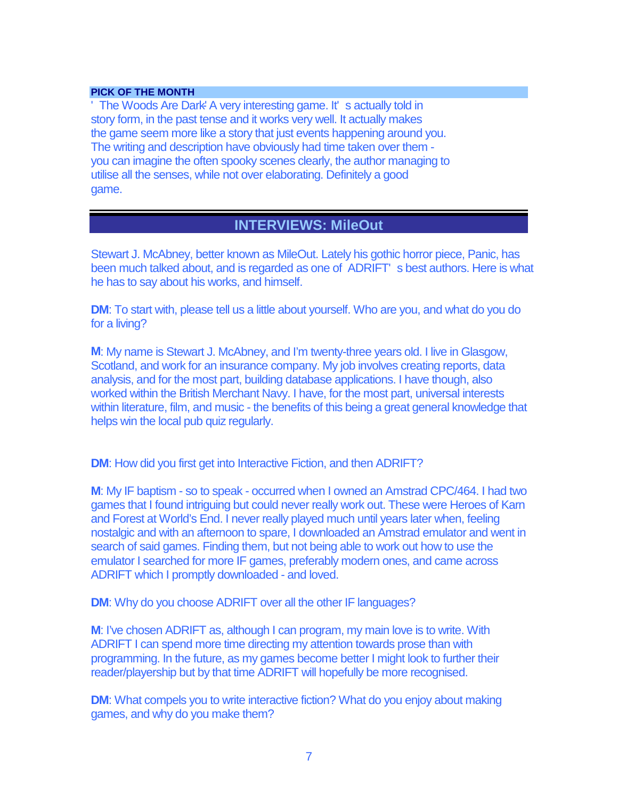### **PICK OF THE MONTH**

'The Woods Are Dark<sup>-</sup> A very interesting game. It' s actually told in story form, in the past tense and it works very well. It actually makes the game seem more like a story that just events happening around you. The writing and description have obviously had time taken over them you can imagine the often spooky scenes clearly, the author managing to utilise all the senses, while not over elaborating. Definitely a good game.

# **INTERVIEWS: MileOut**

Stewart J. McAbney, better known as MileOut. Lately his gothic horror piece, Panic, has been much talked about, and is regarded as one of ADRIFT' s best authors. Here is what he has to say about his works, and himself.

**DM**: To start with, please tell us a little about yourself. Who are you, and what do you do for a living?

**M**: My name is Stewart J. McAbney, and I'm twenty-three years old. I live in Glasgow, Scotland, and work for an insurance company. My job involves creating reports, data analysis, and for the most part, building database applications. I have though, also worked within the British Merchant Navy. I have, for the most part, universal interests within literature, film, and music - the benefits of this being a great general knowledge that helps win the local pub quiz regularly.

**DM:** How did you first get into Interactive Fiction, and then ADRIFT?

**M**: My IF baptism - so to speak - occurred when I owned an Amstrad CPC/464. I had two games that I found intriguing but could never really work out. These were Heroes of Karn and Forest at World's End. I never really played much until years later when, feeling nostalgic and with an afternoon to spare, I downloaded an Amstrad emulator and went in search of said games. Finding them, but not being able to work out how to use the emulator I searched for more IF games, preferably modern ones, and came across ADRIFT which I promptly downloaded - and loved.

**DM**: Why do you choose ADRIFT over all the other IF languages?

**M**: I've chosen ADRIFT as, although I can program, my main love is to write. With ADRIFT I can spend more time directing my attention towards prose than with programming. In the future, as my games become better I might look to further their reader/playership but by that time ADRIFT will hopefully be more recognised.

**DM**: What compels you to write interactive fiction? What do you enjoy about making games, and why do you make them?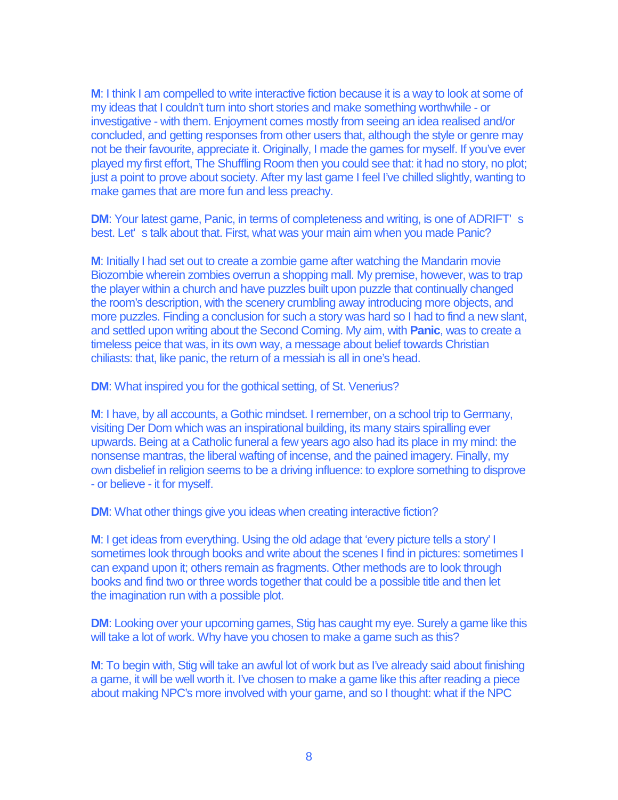**M**: I think I am compelled to write interactive fiction because it is a way to look at some of my ideas that I couldn't turn into short stories and make something worthwhile - or investigative - with them. Enjoyment comes mostly from seeing an idea realised and/or concluded, and getting responses from other users that, although the style or genre may not be their favourite, appreciate it. Originally, I made the games for myself. If you've ever played my first effort, The Shuffling Room then you could see that: it had no story, no plot; just a point to prove about society. After my last game I feel I've chilled slightly, wanting to make games that are more fun and less preachy.

**DM**: Your latest game, Panic, in terms of completeness and writing, is one of ADRIFT' s best. Let' s talk about that. First, what was your main aim when you made Panic?

**M**: Initially I had set out to create a zombie game after watching the Mandarin movie Biozombie wherein zombies overrun a shopping mall. My premise, however, was to trap the player within a church and have puzzles built upon puzzle that continually changed the room's description, with the scenery crumbling away introducing more objects, and more puzzles. Finding a conclusion for such a story was hard so I had to find a new slant, and settled upon writing about the Second Coming. My aim, with **Panic**, was to create a timeless peice that was, in its own way, a message about belief towards Christian chiliasts: that, like panic, the return of a messiah is all in one's head.

**DM**: What inspired you for the gothical setting, of St. Venerius?

**M**: I have, by all accounts, a Gothic mindset. I remember, on a school trip to Germany, visiting Der Dom which was an inspirational building, its many stairs spiralling ever upwards. Being at a Catholic funeral a few years ago also had its place in my mind: the nonsense mantras, the liberal wafting of incense, and the pained imagery. Finally, my own disbelief in religion seems to be a driving influence: to explore something to disprove - or believe - it for myself.

**DM**: What other things give you ideas when creating interactive fiction?

**M**: I get ideas from everything. Using the old adage that 'every picture tells a story' I sometimes look through books and write about the scenes I find in pictures: sometimes I can expand upon it; others remain as fragments. Other methods are to look through books and find two or three words together that could be a possible title and then let the imagination run with a possible plot.

**DM:** Looking over your upcoming games, Stig has caught my eye. Surely a game like this will take a lot of work. Why have you chosen to make a game such as this?

**M**: To begin with, Stig will take an awful lot of work but as I've already said about finishing a game, it will be well worth it. I've chosen to make a game like this after reading a piece about making NPC's more involved with your game, and so I thought: what if the NPC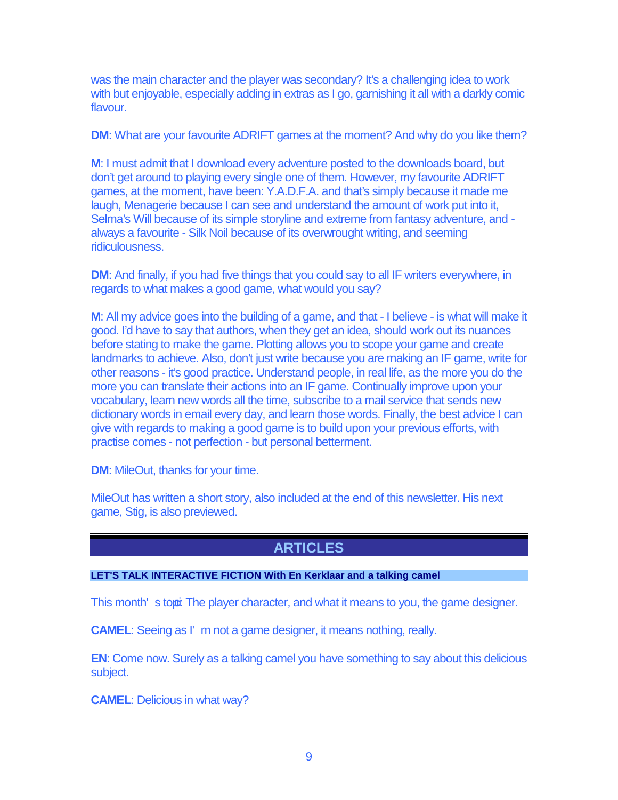was the main character and the player was secondary? It's a challenging idea to work with but enjoyable, especially adding in extras as I go, garnishing it all with a darkly comic flavour.

**DM**: What are your favourite ADRIFT games at the moment? And why do you like them?

**M**: I must admit that I download every adventure posted to the downloads board, but don't get around to playing every single one of them. However, my favourite ADRIFT games, at the moment, have been: Y.A.D.F.A. and that's simply because it made me laugh, Menagerie because I can see and understand the amount of work put into it, Selma's Will because of its simple storyline and extreme from fantasy adventure, and always a favourite - Silk Noil because of its overwrought writing, and seeming ridiculousness.

**DM**: And finally, if you had five things that you could say to all IF writers everywhere, in regards to what makes a good game, what would you say?

**M**: All my advice goes into the building of a game, and that - I believe - is what will make it good. I'd have to say that authors, when they get an idea, should work out its nuances before stating to make the game. Plotting allows you to scope your game and create landmarks to achieve. Also, don't just write because you are making an IF game, write for other reasons - it's good practice. Understand people, in real life, as the more you do the more you can translate their actions into an IF game. Continually improve upon your vocabulary, learn new words all the time, subscribe to a mail service that sends new dictionary words in email every day, and learn those words. Finally, the best advice I can give with regards to making a good game is to build upon your previous efforts, with practise comes - not perfection - but personal betterment.

**DM**: MileOut, thanks for your time.

MileOut has written a short story, also included at the end of this newsletter. His next game, Stig, is also previewed.

# **ARTICLES**

## **LET'S TALK INTERACTIVE FICTION With En Kerklaar and a talking camel**

This month's topoi: The player character, and what it means to you, the game designer.

**CAMEL:** Seeing as I' m not a game designer, it means nothing, really.

**EN:** Come now. Surely as a talking camel you have something to say about this delicious subject.

**CAMEL**: Delicious in what way?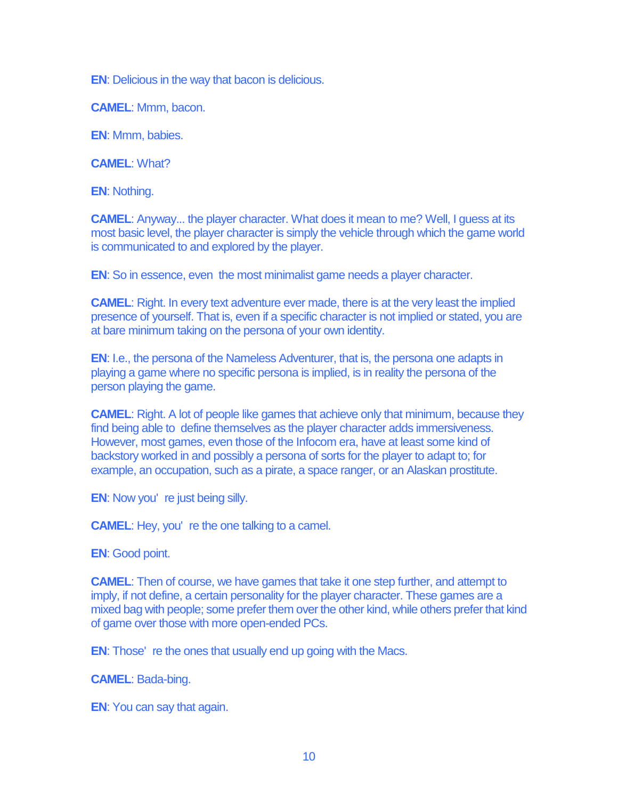**EN**: Delicious in the way that bacon is delicious.

**CAMEL**: Mmm, bacon.

**EN**: Mmm, babies.

**CAMEL**: What?

**EN**: Nothing.

**CAMEL**: Anyway... the player character. What does it mean to me? Well, I guess at its most basic level, the player character is simply the vehicle through which the game world is communicated to and explored by the player.

**EN**: So in essence, even the most minimalist game needs a player character.

**CAMEL**: Right. In every text adventure ever made, there is at the very least the implied presence of yourself. That is, even if a specific character is not implied or stated, you are at bare minimum taking on the persona of your own identity.

**EN**: I.e., the persona of the Nameless Adventurer, that is, the persona one adapts in playing a game where no specific persona is implied, is in reality the persona of the person playing the game.

**CAMEL:** Right. A lot of people like games that achieve only that minimum, because they find being able to define themselves as the player character adds immersiveness. However, most games, even those of the Infocom era, have at least some kind of backstory worked in and possibly a persona of sorts for the player to adapt to; for example, an occupation, such as a pirate, a space ranger, or an Alaskan prostitute.

**EN:** Now you're just being silly.

**CAMEL**: Hey, you' re the one talking to a camel.

**EN**: Good point.

**CAMEL**: Then of course, we have games that take it one step further, and attempt to imply, if not define, a certain personality for the player character. These games are a mixed bag with people; some prefer them over the other kind, while others prefer that kind of game over those with more open-ended PCs.

**EN**: Those' re the ones that usually end up going with the Macs.

**CAMEL**: Bada-bing.

**EN**: You can say that again.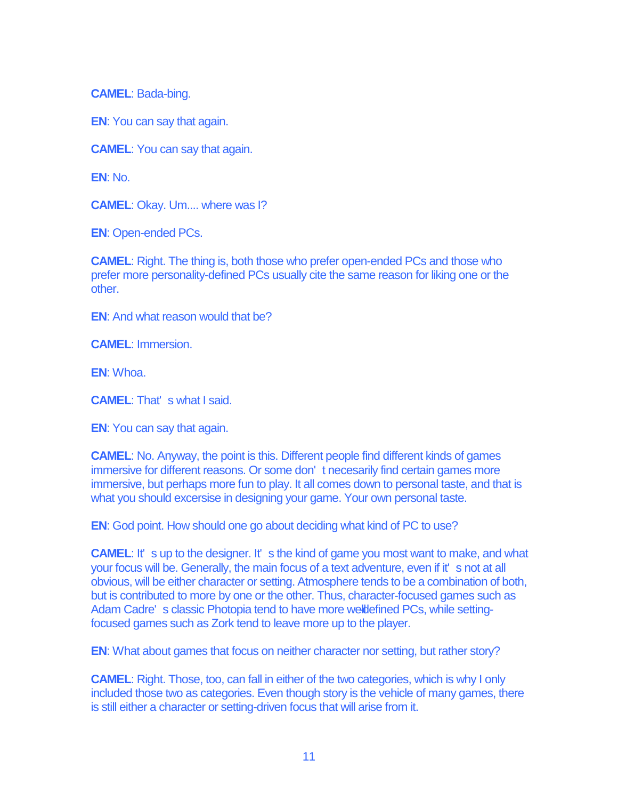**CAMEL**: Bada-bing.

**EN**: You can say that again.

**CAMEL**: You can say that again.

**EN**: No.

**CAMEL**: Okay. Um.... where was I?

**EN**: Open-ended PCs.

**CAMEL**: Right. The thing is, both those who prefer open-ended PCs and those who prefer more personality-defined PCs usually cite the same reason for liking one or the other.

**EN:** And what reason would that be?

**CAMEL**: Immersion.

**EN**: Whoa.

**CAMEL**: That' s what I said.

**EN**: You can say that again.

**CAMEL**: No. Anyway, the point is this. Different people find different kinds of games immersive for different reasons. Or some don' t necesarily find certain games more immersive, but perhaps more fun to play. It all comes down to personal taste, and that is what you should excersise in designing your game. Your own personal taste.

**EN**: God point. How should one go about deciding what kind of PC to use?

**CAMEL:** It' s up to the designer. It' s the kind of game you most want to make, and what your focus will be. Generally, the main focus of a text adventure, even if it' s not at all obvious, will be either character or setting. Atmosphere tends to be a combination of both, but is contributed to more by one or the other. Thus, character-focused games such as Adam Cadre's classic Photopia tend to have more welldefined PCs, while settingfocused games such as Zork tend to leave more up to the player.

**EN**: What about games that focus on neither character nor setting, but rather story?

**CAMEL**: Right. Those, too, can fall in either of the two categories, which is why I only included those two as categories. Even though story is the vehicle of many games, there is still either a character or setting-driven focus that will arise from it.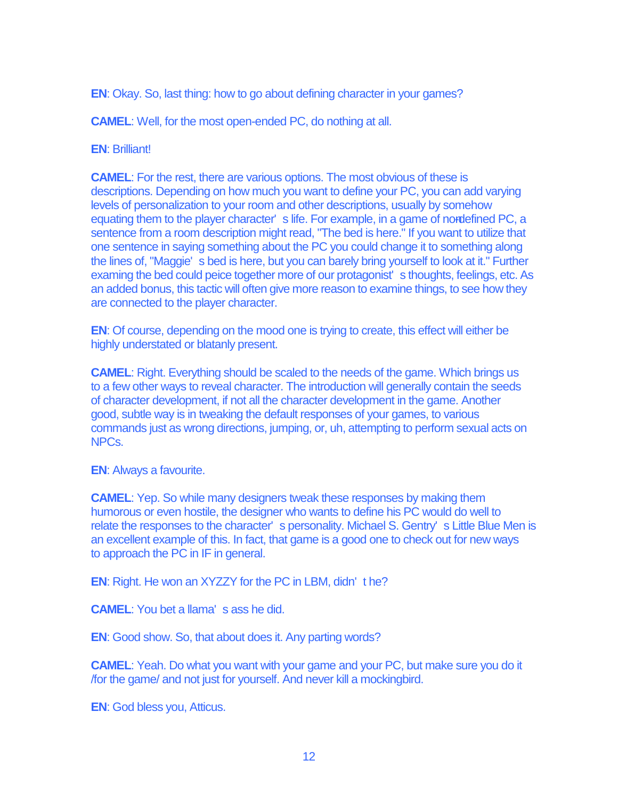**EN**: Okay. So, last thing: how to go about defining character in your games?

**CAMEL**: Well, for the most open-ended PC, do nothing at all.

### **EN**: Brilliant!

**CAMEL**: For the rest, there are various options. The most obvious of these is descriptions. Depending on how much you want to define your PC, you can add varying levels of personalization to your room and other descriptions, usually by somehow equating them to the player character' s life. For example, in a game of nordefined PC, a sentence from a room description might read, "The bed is here." If you want to utilize that one sentence in saying something about the PC you could change it to something along the lines of, "Maggie' s bed is here, but you can barely bring yourself to look at it." Further examing the bed could peice together more of our protagonist' s thoughts, feelings, etc. As an added bonus, this tactic will often give more reason to examine things, to see how they are connected to the player character.

**EN**: Of course, depending on the mood one is trying to create, this effect will either be highly understated or blatanly present.

**CAMEL**: Right. Everything should be scaled to the needs of the game. Which brings us to a few other ways to reveal character. The introduction will generally contain the seeds of character development, if not all the character development in the game. Another good, subtle way is in tweaking the default responses of your games, to various commands just as wrong directions, jumping, or, uh, attempting to perform sexual acts on NPCs.

**EN**: Always a favourite.

**CAMEL**: Yep. So while many designers tweak these responses by making them humorous or even hostile, the designer who wants to define his PC would do well to relate the responses to the character' s personality. Michael S. Gentry' s Little Blue Men is an excellent example of this. In fact, that game is a good one to check out for new ways to approach the PC in IF in general.

**EN**: Right. He won an XYZZY for the PC in LBM, didn' t he?

**CAMEL**: You bet a llama' s ass he did.

**EN**: Good show. So, that about does it. Any parting words?

**CAMEL**: Yeah. Do what you want with your game and your PC, but make sure you do it /for the game/ and not just for yourself. And never kill a mockingbird.

**EN**: God bless you, Atticus.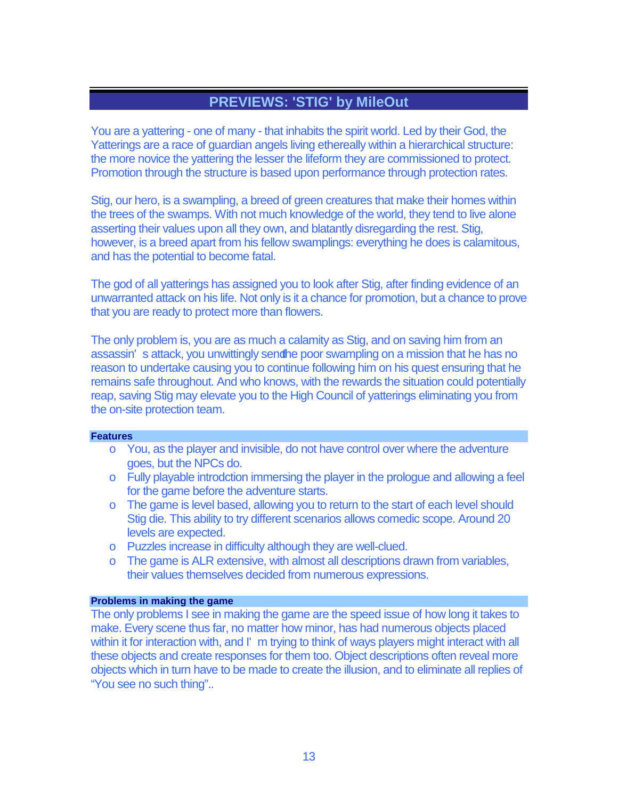# **PREVIEWS: 'STIG' by MileOut**

You are a yattering - one of many - that inhabits the spirit world. Led by their God, the Yatterings are a race of guardian angels living ethereally within a hierarchical structure: the more novice the yattering the lesser the lifeform they are commissioned to protect. Promotion through the structure is based upon performance through protection rates.

Stig, our hero, is a swampling, a breed of green creatures that make their homes within the trees of the swamps. With not much knowledge of the world, they tend to live alone asserting their values upon all they own, and blatantly disregarding the rest. Stig, however, is a breed apart from his fellow swamplings: everything he does is calamitous, and has the potential to become fatal.

The god of all yatterings has assigned you to look after Stig, after finding evidence of an unwarranted attack on his life. Not only is it a chance for promotion, but a chance to prove that you are ready to protect more than flowers.

The only problem is, you are as much a calamity as Stig, and on saving him from an assassin's attack, you unwittingly sendine poor swampling on a mission that he has no reason to undertake causing you to continue following him on his quest ensuring that he remains safe throughout. And who knows, with the rewards the situation could potentially reap, saving Stig may elevate you to the High Council of yatterings eliminating you from the on-site protection team.

### **Features**

- o You, as the player and invisible, do not have control over where the adventure goes, but the NPCs do.
- o Fully playable introdction immersing the player in the prologue and allowing a feel for the game before the adventure starts.
- o The game is level based, allowing you to return to the start of each level should Stig die. This ability to try different scenarios allows comedic scope. Around 20 levels are expected.
- o Puzzles increase in difficulty although they are well-clued.
- o The game is ALR extensive, with almost all descriptions drawn from variables, their values themselves decided from numerous expressions.

### **Problems in making the game**

The only problems I see in making the game are the speed issue of how long it takes to make. Every scene thus far, no matter how minor, has had numerous objects placed within it for interaction with, and I' m trying to think of ways players might interact with all these objects and create responses for them too. Object descriptions often reveal more objects which in turn have to be made to create the illusion, and to eliminate all replies of "You see no such thing"..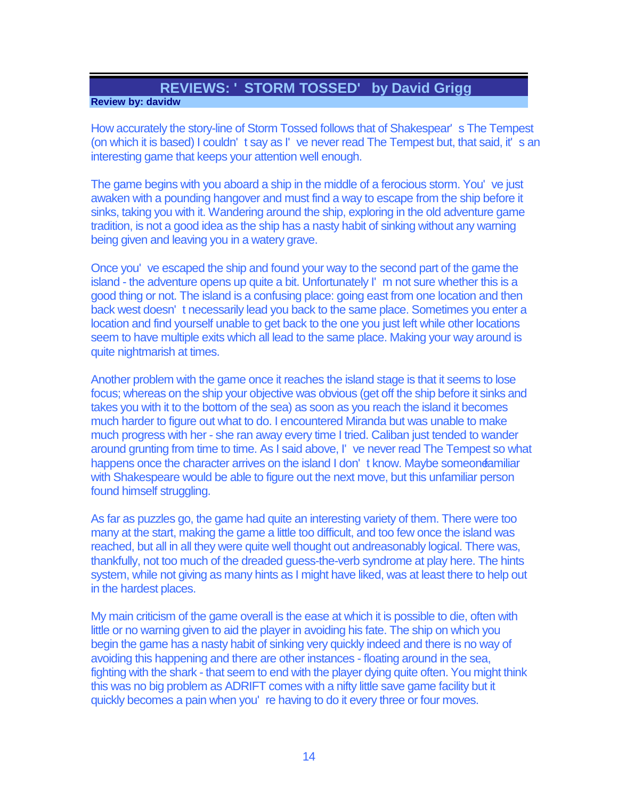# **REVIEWS: ' STORM TOSSED' by David Grigg**

## **Review by: davidw**

How accurately the story-line of Storm Tossed follows that of Shakespear' s The Tempest (on which it is based) I couldn' t say as I' ve never read The Tempest but, that said, it' s an interesting game that keeps your attention well enough.

The game begins with you aboard a ship in the middle of a ferocious storm. You' ve just awaken with a pounding hangover and must find a way to escape from the ship before it sinks, taking you with it. Wandering around the ship, exploring in the old adventure game tradition, is not a good idea as the ship has a nasty habit of sinking without any warning being given and leaving you in a watery grave.

Once you' ve escaped the ship and found your way to the second part of the game the island - the adventure opens up quite a bit. Unfortunately I' m not sure whether this is a good thing or not. The island is a confusing place: going east from one location and then back west doesn' t necessarily lead you back to the same place. Sometimes you enter a location and find yourself unable to get back to the one you just left while other locations seem to have multiple exits which all lead to the same place. Making your way around is quite nightmarish at times.

Another problem with the game once it reaches the island stage is that it seems to lose focus; whereas on the ship your objective was obvious (get off the ship before it sinks and takes you with it to the bottom of the sea) as soon as you reach the island it becomes much harder to figure out what to do. I encountered Miranda but was unable to make much progress with her - she ran away every time I tried. Caliban just tended to wander around grunting from time to time. As I said above, I' ve never read The Tempest so what happens once the character arrives on the island I don't know. Maybe someone amiliar with Shakespeare would be able to figure out the next move, but this unfamiliar person found himself struggling.

As far as puzzles go, the game had quite an interesting variety of them. There were too many at the start, making the game a little too difficult, and too few once the island was reached, but all in all they were quite well thought out andreasonably logical. There was, thankfully, not too much of the dreaded guess-the-verb syndrome at play here. The hints system, while not giving as many hints as I might have liked, was at least there to help out in the hardest places.

My main criticism of the game overall is the ease at which it is possible to die, often with little or no warning given to aid the player in avoiding his fate. The ship on which you begin the game has a nasty habit of sinking very quickly indeed and there is no way of avoiding this happening and there are other instances - floating around in the sea, fighting with the shark - that seem to end with the player dying quite often. You might think this was no big problem as ADRIFT comes with a nifty little save game facility but it quickly becomes a pain when you' re having to do it every three or four moves.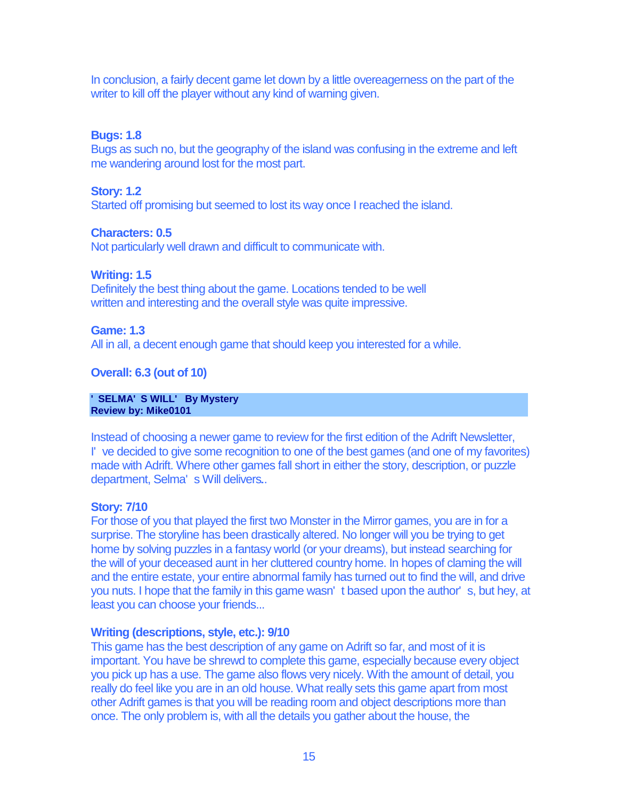In conclusion, a fairly decent game let down by a little overeagerness on the part of the writer to kill off the player without any kind of warning given.

# **Bugs: 1.8**

Bugs as such no, but the geography of the island was confusing in the extreme and left me wandering around lost for the most part.

### **Story: 1.2**

Started off promising but seemed to lost its way once I reached the island.

# **Characters: 0.5**

Not particularly well drawn and difficult to communicate with.

## **Writing: 1.5**

Definitely the best thing about the game. Locations tended to be well written and interesting and the overall style was quite impressive.

### **Game: 1.3**

All in all, a decent enough game that should keep you interested for a while.

# **Overall: 6.3 (out of 10)**

#### **' SELMA' S WILL' By Mystery Review by: Mike0101**

Instead of choosing a newer game to review for the first edition of the Adrift Newsletter, I' ve decided to give some recognition to one of the best games (and one of my favorites) made with Adrift. Where other games fall short in either the story, description, or puzzle department, Selma' s Will delivers..

## **Story: 7/10**

For those of you that played the first two Monster in the Mirror games, you are in for a surprise. The storyline has been drastically altered. No longer will you be trying to get home by solving puzzles in a fantasy world (or your dreams), but instead searching for the will of your deceased aunt in her cluttered country home. In hopes of claming the will and the entire estate, your entire abnormal family has turned out to find the will, and drive you nuts. I hope that the family in this game wasn' t based upon the author' s, but hey, at least you can choose your friends...

## **Writing (descriptions, style, etc.): 9/10**

This game has the best description of any game on Adrift so far, and most of it is important. You have be shrewd to complete this game, especially because every object you pick up has a use. The game also flows very nicely. With the amount of detail, you really do feel like you are in an old house. What really sets this game apart from most other Adrift games is that you will be reading room and object descriptions more than once. The only problem is, with all the details you gather about the house, the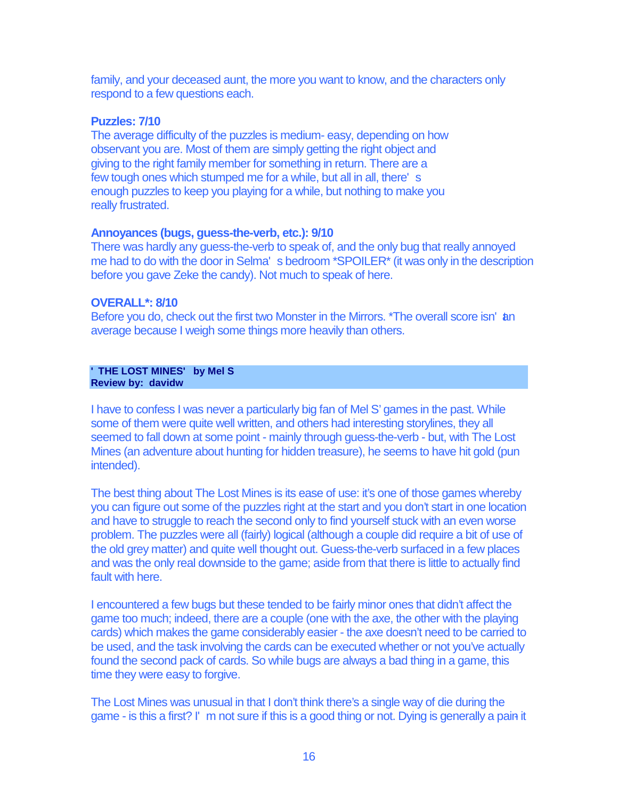family, and your deceased aunt, the more you want to know, and the characters only respond to a few questions each.

### **Puzzles: 7/10**

The average difficulty of the puzzles is medium- easy, depending on how observant you are. Most of them are simply getting the right object and giving to the right family member for something in return. There are a few tough ones which stumped me for a while, but all in all, there' s enough puzzles to keep you playing for a while, but nothing to make you really frustrated.

## **Annoyances (bugs, guess-the-verb, etc.): 9/10**

There was hardly any guess-the-verb to speak of, and the only bug that really annoyed me had to do with the door in Selma' s bedroom \*SPOILER\* (it was only in the description before you gave Zeke the candy). Not much to speak of here.

## **OVERALL\*: 8/10**

Before you do, check out the first two Monster in the Mirrors. \*The overall score isn' an average because I weigh some things more heavily than others.

#### **' THE LOST MINES' by Mel S Review by: davidw**

I have to confess I was never a particularly big fan of Mel S' games in the past. While some of them were quite well written, and others had interesting storylines, they all seemed to fall down at some point - mainly through guess-the-verb - but, with The Lost Mines (an adventure about hunting for hidden treasure), he seems to have hit gold (pun intended).

The best thing about The Lost Mines is its ease of use: it's one of those games whereby you can figure out some of the puzzles right at the start and you don't start in one location and have to struggle to reach the second only to find yourself stuck with an even worse problem. The puzzles were all (fairly) logical (although a couple did require a bit of use of the old grey matter) and quite well thought out. Guess-the-verb surfaced in a few places and was the only real downside to the game; aside from that there is little to actually find fault with here.

I encountered a few bugs but these tended to be fairly minor ones that didn't affect the game too much; indeed, there are a couple (one with the axe, the other with the playing cards) which makes the game considerably easier - the axe doesn't need to be carried to be used, and the task involving the cards can be executed whether or not you've actually found the second pack of cards. So while bugs are always a bad thing in a game, this time they were easy to forgive.

The Lost Mines was unusual in that I don't think there's a single way of die during the game - is this a first? I' m not sure if this is a good thing or not. Dying is generally a pain it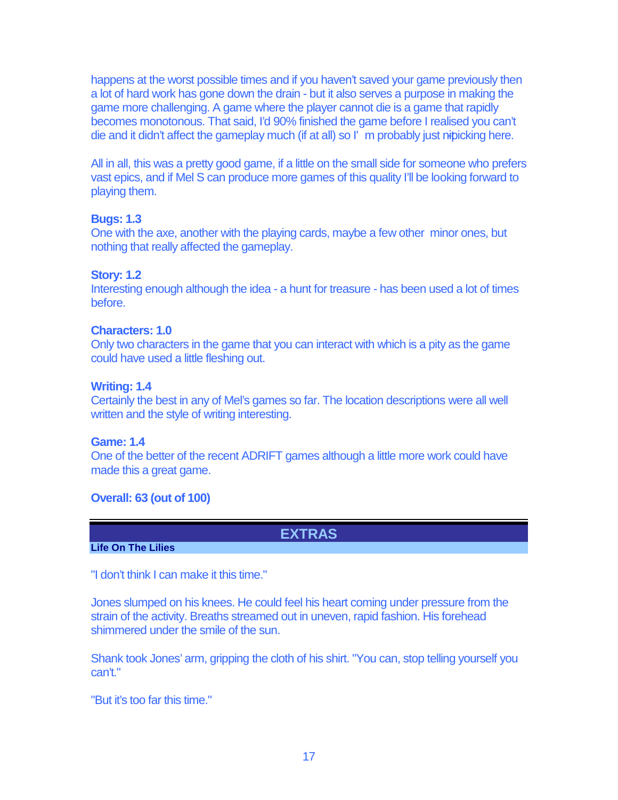happens at the worst possible times and if you haven't saved your game previously then a lot of hard work has gone down the drain - but it also serves a purpose in making the game more challenging. A game where the player cannot die is a game that rapidly becomes monotonous. That said, I'd 90% finished the game before I realised you can't die and it didn't affect the gameplay much (if at all) so I' m probably just nibicking here.

All in all, this was a pretty good game, if a little on the small side for someone who prefers vast epics, and if Mel S can produce more games of this quality I'll be looking forward to playing them.

# **Bugs: 1.3**

One with the axe, another with the playing cards, maybe a few other minor ones, but nothing that really affected the gameplay.

# **Story: 1.2**

Interesting enough although the idea - a hunt for treasure - has been used a lot of times before.

## **Characters: 1.0**

Only two characters in the game that you can interact with which is a pity as the game could have used a little fleshing out.

# **Writing: 1.4**

Certainly the best in any of Mel's games so far. The location descriptions were all well written and the style of writing interesting.

## **Game: 1.4**

One of the better of the recent ADRIFT games although a little more work could have made this a great game.

# **Overall: 63 (out of 100)**

**EXTRAS**

# **Life On The Lilies**

"I don't think I can make it this time."

Jones slumped on his knees. He could feel his heart coming under pressure from the strain of the activity. Breaths streamed out in uneven, rapid fashion. His forehead shimmered under the smile of the sun.

Shank took Jones' arm, gripping the cloth of his shirt. "You can, stop telling yourself you can't."

"But it's too far this time."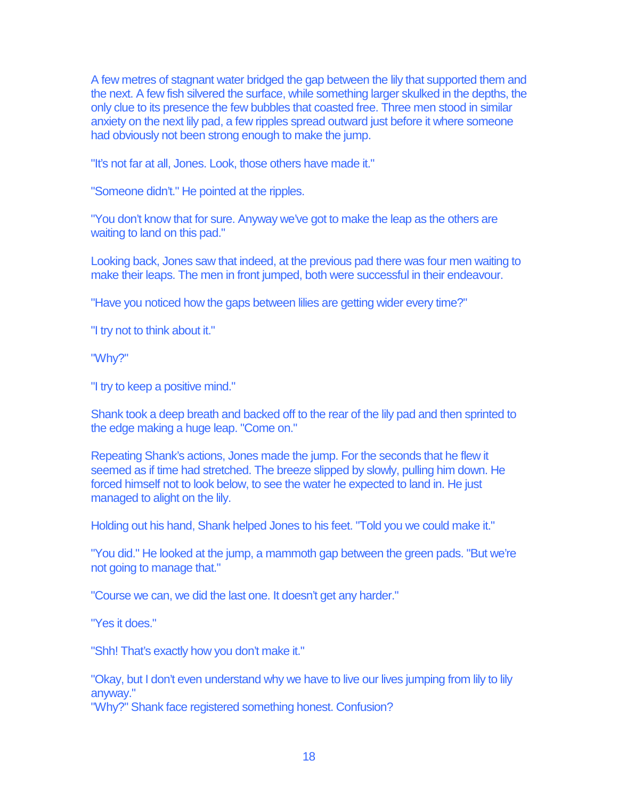A few metres of stagnant water bridged the gap between the lily that supported them and the next. A few fish silvered the surface, while something larger skulked in the depths, the only clue to its presence the few bubbles that coasted free. Three men stood in similar anxiety on the next lily pad, a few ripples spread outward just before it where someone had obviously not been strong enough to make the jump.

"It's not far at all, Jones. Look, those others have made it."

"Someone didn't." He pointed at the ripples.

"You don't know that for sure. Anyway we've got to make the leap as the others are waiting to land on this pad."

Looking back, Jones saw that indeed, at the previous pad there was four men waiting to make their leaps. The men in front jumped, both were successful in their endeavour.

"Have you noticed how the gaps between lilies are getting wider every time?"

"I try not to think about it."

"Why?"

"I try to keep a positive mind."

Shank took a deep breath and backed off to the rear of the lily pad and then sprinted to the edge making a huge leap. "Come on."

Repeating Shank's actions, Jones made the jump. For the seconds that he flew it seemed as if time had stretched. The breeze slipped by slowly, pulling him down. He forced himself not to look below, to see the water he expected to land in. He just managed to alight on the lily.

Holding out his hand, Shank helped Jones to his feet. "Told you we could make it."

"You did." He looked at the jump, a mammoth gap between the green pads. "But we're not going to manage that."

"Course we can, we did the last one. It doesn't get any harder."

"Yes it does."

"Shh! That's exactly how you don't make it."

"Okay, but I don't even understand why we have to live our lives jumping from lily to lily anyway."

"Why?" Shank face registered something honest. Confusion?